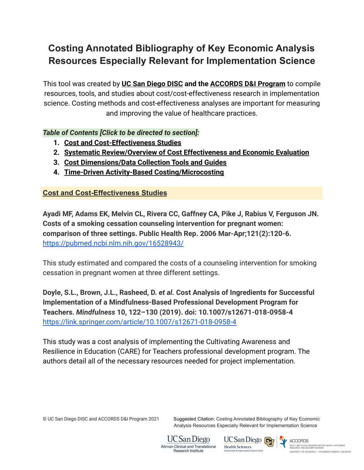# **Costing Annotated Bibliography of Key Economic Analysis Resources Especially Relevant for Implementation Science**

This tool was created by **[UC San Diego DISC](http://disc.ucsd.edu) and the [ACCORDS D&I Program](https://medschool.cuanschutz.edu/accords)** to compile resources, tools, and studies about cost/cost-effectiveness research in implementation science. Costing methods and cost-effectiveness analyses are important for measuring and improving the value of healthcare practices.

*Table of Contents [Click to be directed to section]:*

- **1. [Cost and Cost-Effectiveness Studies](#page-0-0)**
- **2. [Systematic Review/Overview of Cost Effectiveness and](#page-3-0) Economic Evaluation**
- **3. [Cost Dimensions/Data Collection Tools and Guides](#page-6-0)**
- **4. [Time-Driven Activity-Based Costing/Microcosting](#page-8-0)**

<span id="page-0-0"></span>**Cost and Cost-Effectiveness Studies**

**Ayadi MF, Adams EK, Melvin CL, Rivera CC, Gaffney CA, Pike J, Rabius V, Ferguson JN. Costs of a smoking cessation counseling intervention for pregnant women: comparison of three settings. Public Health Rep. 2006 Mar-Apr;121(2):120-6.** <https://pubmed.ncbi.nlm.nih.gov/16528943/>

This study estimated and compared the costs of a counseling intervention for smoking cessation in pregnant women at three different settings.

**Doyle, S.L., Brown, J.L., Rasheed, D.** *et al.* **Cost Analysis of Ingredients for Successful Implementation of a Mindfulness-Based Professional Development Program for Teachers.** *Mindfulness* **10, 122–130 (2019). doi: 10.1007/s12671-018-0958-4** <https://link.springer.com/article/10.1007/s12671-018-0958-4>

This study was a cost analysis of implementing the Cultivating Awareness and Resilience in Education (CARE) for Teachers professional development program. The authors detail all of the necessary resources needed for project implementation.

© UC San Diego DISC and ACCORDS D&I Program 2021 Suggested Citation: Costing Annotated Bibliography of Key Economic Analysis Resources Especially Relevant for Implementation Science



UC San Diego **Health Sciences** 

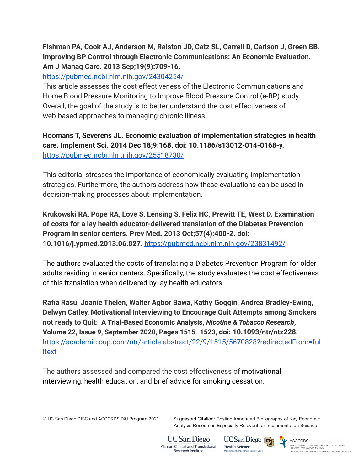# **Fishman PA, Cook AJ, Anderson M, Ralston JD, Catz SL, Carrell D, Carlson J, Green BB. Improving BP Control through Electronic Communications: An Economic Evaluation. Am J Manag Care. 2013 Sep;19(9):709-16.**

<https://pubmed.ncbi.nlm.nih.gov/24304254/>

This article assesses the cost effectiveness of the Electronic Communications and Home Blood Pressure Monitoring to Improve Blood Pressure Control (e-BP) study. Overall, the goal of the study is to better understand the cost effectiveness of web-based approaches to managing chronic illness.

**Hoomans T, Severens JL. Economic evaluation of implementation strategies in health care. Implement Sci. 2014 Dec 18;9:168. doi: 10.1186/s13012-014-0168-y.** <https://pubmed.ncbi.nlm.nih.gov/25518730/>

This editorial stresses the importance of economically evaluating implementation strategies. Furthermore, the authors address how these evaluations can be used in decision-making processes about implementation.

**Krukowski RA, Pope RA, Love S, Lensing S, Felix HC, Prewitt TE, West D. Examination of costs for a lay health educator-delivered translation of the Diabetes Prevention Program in senior centers. Prev Med. 2013 Oct;57(4):400-2. doi: 10.1016/j.ypmed.2013.06.027.** <https://pubmed.ncbi.nlm.nih.gov/23831492/>

The authors evaluated the costs of translating a Diabetes Prevention Program for older adults residing in senior centers. Specifically, the study evaluates the cost effectiveness of this translation when delivered by lay health educators.

**Rafia Rasu, Joanie Thelen, Walter Agbor Bawa, Kathy Goggin, Andrea Bradley-Ewing, Delwyn Catley, Motivational Interviewing to Encourage Quit Attempts among Smokers not ready to Quit: A Trial-Based Economic Analysis,** *Nicotine & Tobacco Research***, Volume 22, Issue 9, September 2020, Pages 1515–1523, doi: 10.1093/ntr/ntz228.** [https://academic.oup.com/ntr/article-abstract/22/9/1515/5670828?redirectedFrom=ful](https://academic.oup.com/ntr/article-abstract/22/9/1515/5670828?redirectedFrom=fulltext) [ltext](https://academic.oup.com/ntr/article-abstract/22/9/1515/5670828?redirectedFrom=fulltext)

The authors assessed and compared the cost effectiveness of motivational interviewing, health education, and brief advice for smoking cessation.

© UC San Diego DISC and ACCORDS D&I Program 2021 Suggested Citation: Costing Annotated Bibliography of Key Economic Analysis Resources Especially Relevant for Implementation Science



UC San Diego <sub>[7]</sub> **Health Sciences** 

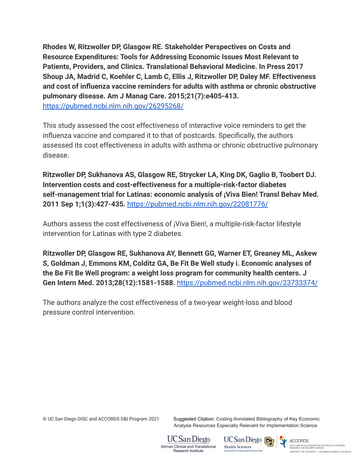**Rhodes W, Ritzwoller DP, Glasgow RE. Stakeholder Perspectives on Costs and Resource Expenditures: Tools for Addressing Economic Issues Most Relevant to Patients, Providers, and Clinics. Translational Behavioral Medicine. In Press 2017 Shoup JA, Madrid C, Koehler C, Lamb C, Ellis J, Ritzwoller DP, Daley MF. Effectiveness and cost of influenza vaccine reminders for adults with asthma or chronic obstructive pulmonary disease. Am J Manag Care. 2015;21(7):e405-413.** <https://pubmed.ncbi.nlm.nih.gov/26295268/>

This study assessed the cost effectiveness of interactive voice reminders to get the influenza vaccine and compared it to that of postcards. Specifically, the authors assessed its cost effectiveness in adults with asthma or chronic obstructive pulmonary disease.

**Ritzwoller DP, Sukhanova AS, Glasgow RE, Strycker LA, King DK, Gaglio B, Toobert DJ. Intervention costs and cost-effectiveness for a multiple-risk-factor diabetes self-management trial for Latinas: economic analysis of ¡Viva Bien! Transl Behav Med. 2011 Sep 1;1(3):427-435.** <https://pubmed.ncbi.nlm.nih.gov/22081776/>

Authors assess the cost effectiveness of ¡Viva Bien!, a multiple-risk-factor lifestyle intervention for Latinas with type 2 diabetes.

**Ritzwoller DP, Glasgow RE, Sukhanova AY, Bennett GG, Warner ET, Greaney ML, Askew S, Goldman J, Emmons KM, Colditz GA, Be Fit Be Well study i. Economic analyses of the Be Fit Be Well program: a weight loss program for community health centers. J Gen Intern Med. 2013;28(12):1581-1588.** <https://pubmed.ncbi.nlm.nih.gov/23733374/>

The authors analyze the cost effectiveness of a two-year weight-loss and blood pressure control intervention.

© UC San Diego DISC and ACCORDS D&I Program 2021 Suggested Citation: Costing Annotated Bibliography of Key Economic Analysis Resources Especially Relevant for Implementation Science





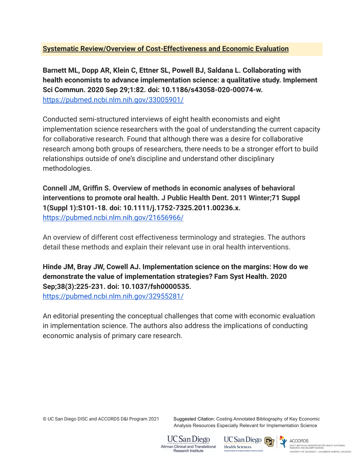### <span id="page-3-0"></span>**Systematic Review/Overview of Cost-Effectiveness and Economic Evaluation**

**Barnett ML, Dopp AR, Klein C, Ettner SL, Powell BJ, Saldana L. Collaborating with health economists to advance implementation science: a qualitative study. Implement Sci Commun. 2020 Sep 29;1:82. doi: 10.1186/s43058-020-00074-w.** <https://pubmed.ncbi.nlm.nih.gov/33005901/>

Conducted semi-structured interviews of eight health economists and eight implementation science researchers with the goal of understanding the current capacity for collaborative research. Found that although there was a desire for collaborative research among both groups of researchers, there needs to be a stronger effort to build relationships outside of one's discipline and understand other disciplinary methodologies.

**Connell JM, Griffin S. Overview of methods in economic analyses of behavioral interventions to promote oral health. J Public Health Dent. 2011 Winter;71 Suppl 1(Suppl 1):S101-18. doi: 10.1111/j.1752-7325.2011.00236.x.** <https://pubmed.ncbi.nlm.nih.gov/21656966/>

An overview of different cost effectiveness terminology and strategies. The authors detail these methods and explain their relevant use in oral health interventions.

**Hinde JM, Bray JW, Cowell AJ. Implementation science on the margins: How do we demonstrate the value of implementation strategies? Fam Syst Health. 2020 Sep;38(3):225-231. doi: 10.1037/fsh0000535.** <https://pubmed.ncbi.nlm.nih.gov/32955281/>

An editorial presenting the conceptual challenges that come with economic evaluation in implementation science. The authors also address the implications of conducting economic analysis of primary care research.

© UC San Diego DISC and ACCORDS D&I Program 2021 Suggested Citation: Costing Annotated Bibliography of Key Economic Analysis Resources Especially Relevant for Implementation Science



UC San Diego **Health Sciences** 



ACCORDS ADULT AND CHILD CONSORTIUM FOR HEALTH OUTCOMES<br>RESEARCH AND DELIVERY SCIENCE UNIVERSITY OF COLORADO | CHILDREN'S HOSPITAL COLORADO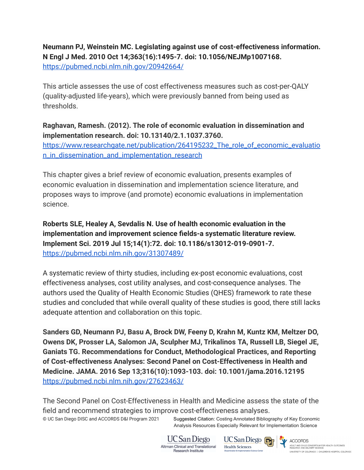**Neumann PJ, Weinstein MC. Legislating against use of cost-effectiveness information. N Engl J Med. 2010 Oct 14;363(16):1495-7. doi: 10.1056/NEJMp1007168.** <https://pubmed.ncbi.nlm.nih.gov/20942664/>

This article assesses the use of cost effectiveness measures such as cost-per-QALY (quality-adjusted life-years), which were previously banned from being used as thresholds.

**Raghavan, Ramesh. (2012). The role of economic evaluation in dissemination and implementation research. doi: 10.13140/2.1.1037.3760.**

[https://www.researchgate.net/publication/264195232\\_The\\_role\\_of\\_economic\\_evaluatio](https://www.researchgate.net/publication/264195232_The_role_of_economic_evaluation_in_dissemination_and_implementation_research) n in dissemination and implementation research

This chapter gives a brief review of economic evaluation, presents examples of economic evaluation in dissemination and implementation science literature, and proposes ways to improve (and promote) economic evaluations in implementation science.

**Roberts SLE, Healey A, Sevdalis N. Use of health economic evaluation in the implementation and improvement science fields-a systematic literature review. Implement Sci. 2019 Jul 15;14(1):72. doi: 10.1186/s13012-019-0901-7.** <https://pubmed.ncbi.nlm.nih.gov/31307489/>

A systematic review of thirty studies, including ex-post economic evaluations, cost effectiveness analyses, cost utility analyses, and cost-consequence analyses. The authors used the Quality of Health Economic Studies (QHES) framework to rate these studies and concluded that while overall quality of these studies is good, there still lacks adequate attention and collaboration on this topic.

**Sanders GD, Neumann PJ, Basu A, Brock DW, Feeny D, Krahn M, Kuntz KM, Meltzer DO, Owens DK, Prosser LA, Salomon JA, Sculpher MJ, Trikalinos TA, Russell LB, Siegel JE, Ganiats TG. Recommendations for Conduct, Methodological Practices, and Reporting of Cost-effectiveness Analyses: Second Panel on Cost-Effectiveness in Health and Medicine. JAMA. 2016 Sep 13;316(10):1093-103. doi: 10.1001/jama.2016.12195** <https://pubmed.ncbi.nlm.nih.gov/27623463/>

The Second Panel on Cost-Effectiveness in Health and Medicine assess the state of the field and recommend strategies to improve cost-effectiveness analyses.

© UC San Diego DISC and ACCORDS D&I Program 2021 Suggested Citation: Costing Annotated Bibliography of Key Economic Analysis Resources Especially Relevant for Implementation Science



UC San Diego **Health Sciences** 

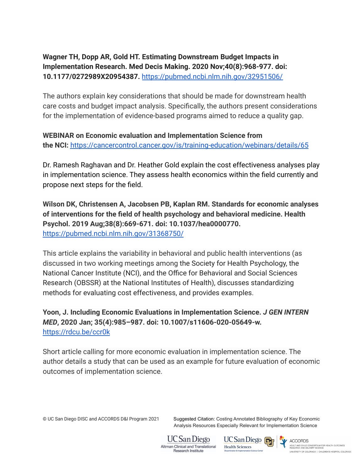# **Wagner TH, Dopp AR, Gold HT. Estimating Downstream Budget Impacts in Implementation Research. Med Decis Making. 2020 Nov;40(8):968-977. doi: 10.1177/0272989X20954387.** <https://pubmed.ncbi.nlm.nih.gov/32951506/>

The authors explain key considerations that should be made for downstream health care costs and budget impact analysis. Specifically, the authors present considerations for the implementation of evidence-based programs aimed to reduce a quality gap.

**WEBINAR on Economic evaluation and Implementation Science from the NCI:** <https://cancercontrol.cancer.gov/is/training-education/webinars/details/65>

Dr. Ramesh Raghavan and Dr. Heather Gold explain the cost effectiveness analyses play in implementation science. They assess health economics within the field currently and propose next steps for the field.

**Wilson DK, Christensen A, Jacobsen PB, Kaplan RM. Standards for economic analyses of interventions for the field of health psychology and behavioral medicine. Health Psychol. 2019 Aug;38(8):669-671. doi: 10.1037/hea0000770.** <https://pubmed.ncbi.nlm.nih.gov/31368750/>

This article explains the variability in behavioral and public health interventions (as discussed in two working meetings among the Society for Health Psychology, the National Cancer Institute (NCI), and the Office for Behavioral and Social Sciences Research (OBSSR) at the National Institutes of Health), discusses standardizing methods for evaluating cost effectiveness, and provides examples.

**Yoon, J. Including Economic Evaluations in Implementation Science.** *J GEN INTERN MED***, 2020 Jan; 35(4):985–987. doi: 10.1007/s11606-020-05649-w.** <https://rdcu.be/ccr0k>

Short article calling for more economic evaluation in implementation science. The author details a study that can be used as an example for future evaluation of economic outcomes of implementation science.

© UC San Diego DISC and ACCORDS D&I Program 2021 Suggested Citation: Costing Annotated Bibliography of Key Economic Analysis Resources Especially Relevant for Implementation Science



UC San Diego **Health Sciences** 

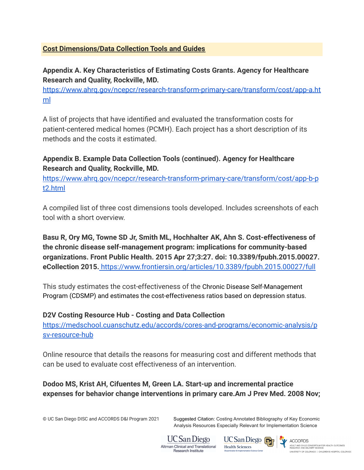#### <span id="page-6-0"></span>**Cost Dimensions/Data Collection Tools and Guides**

**Appendix A. Key Characteristics of Estimating Costs Grants. Agency for Healthcare Research and Quality, Rockville, MD.**

[https://www.ahrq.gov/ncepcr/research-transform-primary-care/transform/cost/app-a.ht](https://www.ahrq.gov/ncepcr/research-transform-primary-care/transform/cost/app-a.html) [ml](https://www.ahrq.gov/ncepcr/research-transform-primary-care/transform/cost/app-a.html)

A list of projects that have identified and evaluated the transformation costs for patient-centered medical homes (PCMH). Each project has a short description of its methods and the costs it estimated.

## **Appendix B. Example Data Collection Tools (continued). Agency for Healthcare Research and Quality, Rockville, MD.**

[https://www.ahrq.gov/ncepcr/research-transform-primary-care/transform/cost/app-b-p](https://www.ahrq.gov/ncepcr/research-transform-primary-care/transform/cost/app-b-pt2.html) [t2.html](https://www.ahrq.gov/ncepcr/research-transform-primary-care/transform/cost/app-b-pt2.html)

A compiled list of three cost dimensions tools developed. Includes screenshots of each tool with a short overview.

**Basu R, Ory MG, Towne SD Jr, Smith ML, Hochhalter AK, Ahn S. Cost-effectiveness of the chronic disease self-management program: implications for community-based organizations. Front Public Health. 2015 Apr 27;3:27. doi: 10.3389/fpubh.2015.00027. eCollection 2015.** <https://www.frontiersin.org/articles/10.3389/fpubh.2015.00027/full>

This study estimates the cost-effectiveness of the Chronic Disease Self-Management Program (CDSMP) and estimates the cost-effectiveness ratios based on depression status.

#### **D2V Costing Resource Hub - Costing and Data Collection**

[https://medschool.cuanschutz.edu/accords/cores-and-programs/economic-analysis/p](https://medschool.cuanschutz.edu/accords/cores-and-programs/economic-analysis/psv-resource-hub) [sv-resource-hub](https://medschool.cuanschutz.edu/accords/cores-and-programs/economic-analysis/psv-resource-hub)

Online resource that details the reasons for measuring cost and different methods that can be used to evaluate cost effectiveness of an intervention.

**Dodoo MS, Krist AH, Cifuentes M, Green LA. Start-up and incremental practice expenses for behavior change interventions in primary care.Am J Prev Med. 2008 Nov;**

© UC San Diego DISC and ACCORDS D&I Program 2021 Suggested Citation: Costing Annotated Bibliography of Key Economic Analysis Resources Especially Relevant for Implementation Science



UC San Diego <sub>[7]</sub> **Health Sciences** 



ACCORDS ADULT AND CHILD CONSORTIUM FOR HEALTH OUTCOMES<br>RESEARCH AND DELIVERY SCIENCE UNIVERSITY OF COLORADO | CHILDREN'S HOSPITAL COLORADO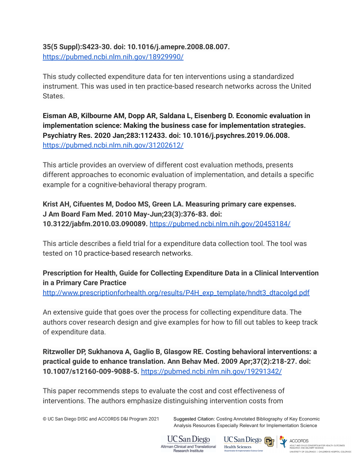**35(5 Suppl):S423-30. doi: 10.1016/j.amepre.2008.08.007.** <https://pubmed.ncbi.nlm.nih.gov/18929990/>

This study collected expenditure data for ten interventions using a standardized instrument. This was used in ten practice-based research networks across the United States.

**Eisman AB, Kilbourne AM, Dopp AR, Saldana L, Eisenberg D. Economic evaluation in implementation science: Making the business case for implementation strategies. Psychiatry Res. 2020 Jan;283:112433. doi: 10.1016/j.psychres.2019.06.008.** <https://pubmed.ncbi.nlm.nih.gov/31202612/>

This article provides an overview of different cost evaluation methods, presents different approaches to economic evaluation of implementation, and details a specific example for a cognitive-behavioral therapy program.

**Krist AH, Cifuentes M, Dodoo MS, Green LA. Measuring primary care expenses. J Am Board Fam Med. 2010 May-Jun;23(3):376-83. doi: 10.3122/jabfm.2010.03.090089.** <https://pubmed.ncbi.nlm.nih.gov/20453184/>

This article describes a field trial for a expenditure data collection tool. The tool was tested on 10 practice-based research networks.

**Prescription for Health, Guide for Collecting Expenditure Data in a Clinical Intervention in a Primary Care Practice**

[http://www.prescriptionforhealth.org/results/P4H\\_exp\\_template/hndt3\\_dtacolgd.pdf](http://www.prescriptionforhealth.org/results/P4H_exp_template/hndt3_dtacolgd.pdf)

An extensive guide that goes over the process for collecting expenditure data. The authors cover research design and give examples for how to fill out tables to keep track of expenditure data.

**Ritzwoller DP, Sukhanova A, Gaglio B, Glasgow RE. Costing behavioral interventions: a practical guide to enhance translation. Ann Behav Med. 2009 Apr;37(2):218-27. doi: 10.1007/s12160-009-9088-5.** <https://pubmed.ncbi.nlm.nih.gov/19291342/>

This paper recommends steps to evaluate the cost and cost effectiveness of interventions. The authors emphasize distinguishing intervention costs from

© UC San Diego DISC and ACCORDS D&I Program 2021 Suggested Citation: Costing Annotated Bibliography of Key Economic Analysis Resources Especially Relevant for Implementation Science



UC San Diego **Health Sciences** 



ACCORDS<br>ADULT AND CHILD CONSORTIUM FOR HEALTH OUTCOMES<br>RESEARCH AND DELIVERY SCIENCE UNIVERSITY OF COLORADO | CHILDREN'S HOSPITAL COLORADO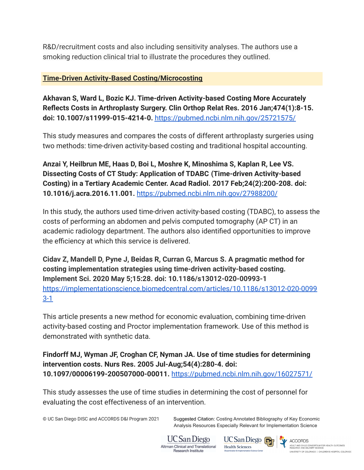R&D/recruitment costs and also including sensitivity analyses. The authors use a smoking reduction clinical trial to illustrate the procedures they outlined.

## <span id="page-8-0"></span>**Time-Driven Activity-Based Costing/Microcosting**

**Akhavan S, Ward L, Bozic KJ. Time-driven Activity-based Costing More Accurately Reflects Costs in Arthroplasty Surgery. Clin Orthop Relat Res. 2016 Jan;474(1):8-15. doi: 10.1007/s11999-015-4214-0.** <https://pubmed.ncbi.nlm.nih.gov/25721575/>

This study measures and compares the costs of different arthroplasty surgeries using two methods: time-driven activity-based costing and traditional hospital accounting.

**Anzai Y, Heilbrun ME, Haas D, Boi L, Moshre K, Minoshima S, Kaplan R, Lee VS. Dissecting Costs of CT Study: Application of TDABC (Time-driven Activity-based Costing) in a Tertiary Academic Center. Acad Radiol. 2017 Feb;24(2):200-208. doi: 10.1016/j.acra.2016.11.001.** <https://pubmed.ncbi.nlm.nih.gov/27988200/>

In this study, the authors used time-driven activity-based costing (TDABC), to assess the costs of performing an abdomen and pelvis computed tomography (AP CT) in an academic radiology department. The authors also identified opportunities to improve the efficiency at which this service is delivered.

**Cidav Z, Mandell D, Pyne J, Beidas R, Curran G, Marcus S. A pragmatic method for costing implementation strategies using time-driven activity-based costing. Implement Sci. 2020 May 5;15:28. doi: 10.1186/s13012-020-00993-1** [https://implementationscience.biomedcentral.com/articles/10.1186/s13012-020-0099](https://implementationscience.biomedcentral.com/articles/10.1186/s13012-020-00993-1) [3-1](https://implementationscience.biomedcentral.com/articles/10.1186/s13012-020-00993-1)

This article presents a new method for economic evaluation, combining time-driven activity-based costing and Proctor implementation framework. Use of this method is demonstrated with synthetic data.

**Findorff MJ, Wyman JF, Croghan CF, Nyman JA. Use of time studies for determining intervention costs. Nurs Res. 2005 Jul-Aug;54(4):280-4. doi: 10.1097/00006199-200507000-00011.** <https://pubmed.ncbi.nlm.nih.gov/16027571/>

This study assesses the use of time studies in determining the cost of personnel for evaluating the cost effectiveness of an intervention.

© UC San Diego DISC and ACCORDS D&I Program 2021 Suggested Citation: Costing Annotated Bibliography of Key Economic Analysis Resources Especially Relevant for Implementation Science



UC San Diego **Health Sciences** 



ACCORDS ADULT AND CHILD CONSORTIUM FOR HEALTH OUTCOMES<br>RESEARCH AND DELIVERY SCIENCE UNIVERSITY OF COLORADO | CHILDREN'S HOSPITAL COLORADO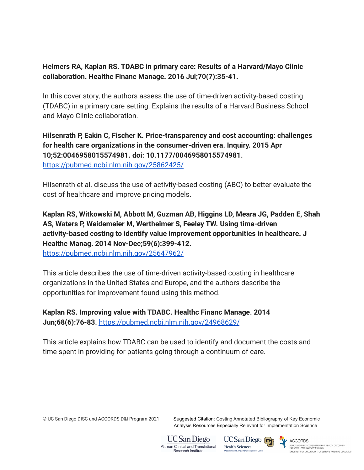## **Helmers RA, Kaplan RS. TDABC in primary care: Results of a Harvard/Mayo Clinic collaboration. Healthc Financ Manage. 2016 Jul;70(7):35-41.**

In this cover story, the authors assess the use of time-driven activity-based costing (TDABC) in a primary care setting. Explains the results of a Harvard Business School and Mayo Clinic collaboration.

# **Hilsenrath P, Eakin C, Fischer K. Price-transparency and cost accounting: challenges for health care organizations in the consumer-driven era. Inquiry. 2015 Apr 10;52:0046958015574981. doi: 10.1177/0046958015574981.** <https://pubmed.ncbi.nlm.nih.gov/25862425/>

Hilsenrath et al. discuss the use of activity-based costing (ABC) to better evaluate the cost of healthcare and improve pricing models.

**Kaplan RS, Witkowski M, Abbott M, Guzman AB, Higgins LD, Meara JG, Padden E, Shah AS, Waters P, Weidemeier M, Wertheimer S, Feeley TW. Using time-driven activity-based costing to identify value improvement opportunities in healthcare. J Healthc Manag. 2014 Nov-Dec;59(6):399-412.** <https://pubmed.ncbi.nlm.nih.gov/25647962/>

This article describes the use of time-driven activity-based costing in healthcare organizations in the United States and Europe, and the authors describe the opportunities for improvement found using this method.

**Kaplan RS. Improving value with TDABC. Healthc Financ Manage. 2014 Jun;68(6):76-83.** <https://pubmed.ncbi.nlm.nih.gov/24968629/>

This article explains how TDABC can be used to identify and document the costs and time spent in providing for patients going through a continuum of care.

© UC San Diego DISC and ACCORDS D&I Program 2021 Suggested Citation: Costing Annotated Bibliography of Key Economic Analysis Resources Especially Relevant for Implementation Science



UC San Diego **Health Sciences** 

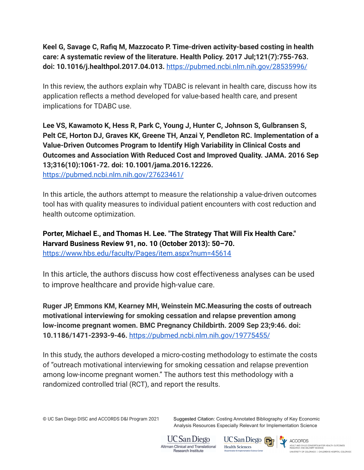# **Keel G, Savage C, Rafiq M, Mazzocato P. Time-driven activity-based costing in health care: A systematic review of the literature. Health Policy. 2017 Jul;121(7):755-763. doi: 10.1016/j.healthpol.2017.04.013.** <https://pubmed.ncbi.nlm.nih.gov/28535996/>

In this review, the authors explain why TDABC is relevant in health care, discuss how its application reflects a method developed for value-based health care, and present implications for TDABC use.

**Lee VS, Kawamoto K, Hess R, Park C, Young J, Hunter C, Johnson S, Gulbransen S, Pelt CE, Horton DJ, Graves KK, Greene TH, Anzai Y, Pendleton RC. Implementation of a Value-Driven Outcomes Program to Identify High Variability in Clinical Costs and Outcomes and Association With Reduced Cost and Improved Quality. JAMA. 2016 Sep 13;316(10):1061-72. doi: 10.1001/jama.2016.12226.** <https://pubmed.ncbi.nlm.nih.gov/27623461/>

In this article, the authors attempt to measure the relationship a value-driven outcomes tool has with quality measures to individual patient encounters with cost reduction and health outcome optimization.

**Porter, Michael E., and Thomas H. Lee. "The Strategy That Will Fix Health Care." Harvard Business Review 91, no. 10 (October 2013): 50–70.** <https://www.hbs.edu/faculty/Pages/item.aspx?num=45614>

In this article, the authors discuss how cost effectiveness analyses can be used to improve healthcare and provide high-value care.

**Ruger JP, Emmons KM, Kearney MH, Weinstein MC.Measuring the costs of outreach motivational interviewing for smoking cessation and relapse prevention among low-income pregnant women. BMC Pregnancy Childbirth. 2009 Sep 23;9:46. doi: 10.1186/1471-2393-9-46.** <https://pubmed.ncbi.nlm.nih.gov/19775455/>

In this study, the authors developed a micro-costing methodology to estimate the costs of "outreach motivational interviewing for smoking cessation and relapse prevention among low-income pregnant women." The authors test this methodology with a randomized controlled trial (RCT), and report the results.

© UC San Diego DISC and ACCORDS D&I Program 2021 Suggested Citation: Costing Annotated Bibliography of Key Economic Analysis Resources Especially Relevant for Implementation Science



UC San Diego **Health Sciences**